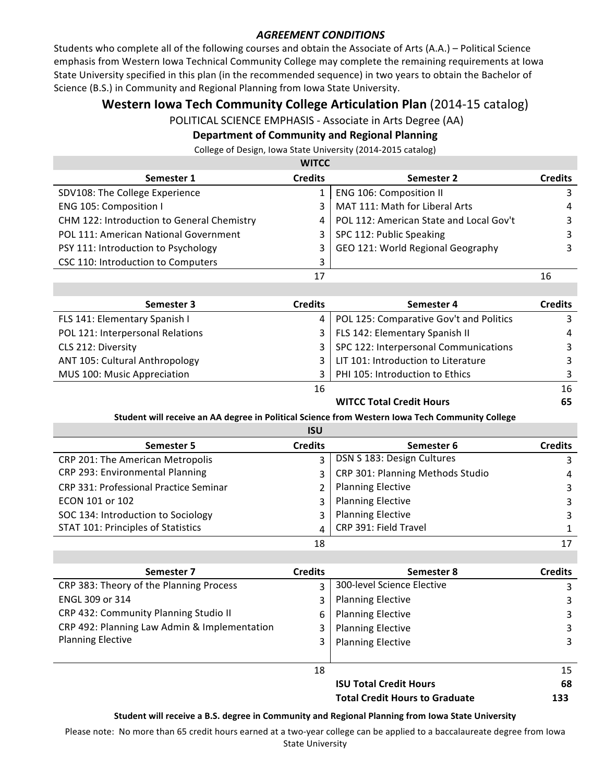## **AGREEMENT CONDITIONS**

Students who complete all of the following courses and obtain the Associate of Arts (A.A.) – Political Science emphasis from Western Iowa Technical Community College may complete the remaining requirements at Iowa State University specified in this plan (in the recommended sequence) in two years to obtain the Bachelor of Science (B.S.) in Community and Regional Planning from Iowa State University.

# **Western Iowa Tech Community College Articulation Plan** (2014-15 catalog)

POLITICAL SCIENCE EMPHASIS - Associate in Arts Degree (AA)

# **Department of Community and Regional Planning**

College of Design, Iowa State University (2014-2015 catalog)

| <b>WITCC</b>                               |                |                                         |                |   |
|--------------------------------------------|----------------|-----------------------------------------|----------------|---|
| Semester 1                                 | <b>Credits</b> | Semester 2                              | <b>Credits</b> |   |
| SDV108: The College Experience             |                | ENG 106: Composition II                 |                |   |
| ENG 105: Composition I                     | 3              | MAT 111: Math for Liberal Arts          |                | 4 |
| CHM 122: Introduction to General Chemistry | 4              | POL 112: American State and Local Gov't |                | 3 |
| POL 111: American National Government      | 3              | SPC 112: Public Speaking                |                |   |
| PSY 111: Introduction to Psychology        | 3              | GEO 121: World Regional Geography       |                | 3 |
| CSC 110: Introduction to Computers         | 3              |                                         |                |   |
|                                            | 17             |                                         | 16             |   |
|                                            |                |                                         |                |   |

| Semester 3                       | <b>Credits</b> | Semester 4                              | <b>Credits</b> |
|----------------------------------|----------------|-----------------------------------------|----------------|
| FLS 141: Elementary Spanish I    | 4              | POL 125: Comparative Gov't and Politics |                |
| POL 121: Interpersonal Relations | 3              | FLS 142: Elementary Spanish II          | 4              |
| CLS 212: Diversity               | 3              | SPC 122: Interpersonal Communications   | 3              |
| ANT 105: Cultural Anthropology   | 3              | LIT 101: Introduction to Literature     | ર              |
| MUS 100: Music Appreciation      |                | PHI 105: Introduction to Ethics         |                |
|                                  | 16             |                                         | 16             |

# **WITCC Total Credit Hours** 65

#### Student will receive an AA degree in Political Science from Western Iowa Tech Community College

|                                        | <b>ISU</b>     |                                  |                |
|----------------------------------------|----------------|----------------------------------|----------------|
| Semester 5                             | <b>Credits</b> | Semester 6                       | <b>Credits</b> |
| CRP 201: The American Metropolis       | 3              | DSN S 183: Design Cultures       | 3              |
| CRP 293: Environmental Planning        | 3              | CRP 301: Planning Methods Studio | 4              |
| CRP 331: Professional Practice Seminar | 2              | <b>Planning Elective</b>         | 3              |
| ECON 101 or 102                        | 3              | <b>Planning Elective</b>         | 3              |
| SOC 134: Introduction to Sociology     | 3              | <b>Planning Elective</b>         | 3              |
| STAT 101: Principles of Statistics     | 4              | CRP 391: Field Travel            |                |
|                                        | 18             |                                  | 17             |

| Semester 7                                   | <b>Credits</b> | Semester 8                            | <b>Credits</b> |
|----------------------------------------------|----------------|---------------------------------------|----------------|
| CRP 383: Theory of the Planning Process      | 3              | 300-level Science Elective            | 3              |
| ENGL 309 or 314                              | 3              | <b>Planning Elective</b>              | 3              |
| CRP 432: Community Planning Studio II        | 6              | <b>Planning Elective</b>              | 3              |
| CRP 492: Planning Law Admin & Implementation | 3              | <b>Planning Elective</b>              | 3              |
| <b>Planning Elective</b>                     | 3              | <b>Planning Elective</b>              | 3              |
|                                              |                |                                       |                |
|                                              | 18             |                                       | 15             |
|                                              |                | <b>ISU Total Credit Hours</b>         | 68             |
|                                              |                | <b>Total Credit Hours to Graduate</b> | 133            |

#### Student will receive a B.S. degree in Community and Regional Planning from Iowa State University

Please note: No more than 65 credit hours earned at a two-year college can be applied to a baccalaureate degree from Iowa **State University**